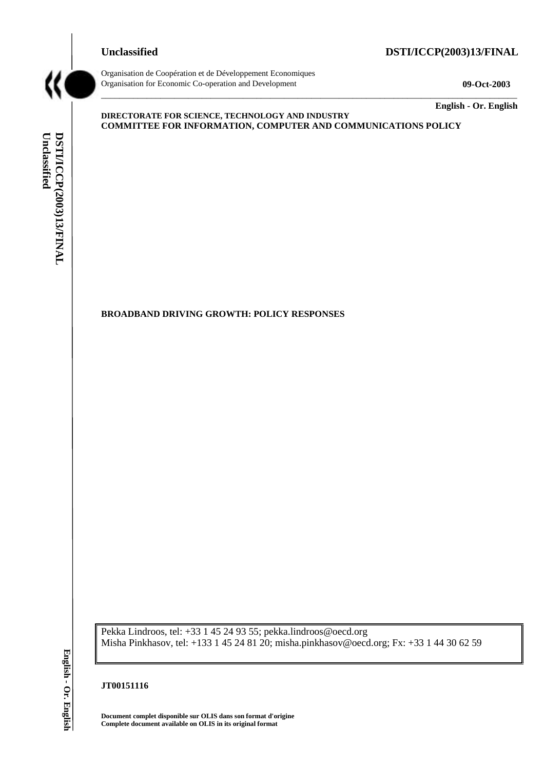# **Unclassified DSTI/ICCP(2003)13/FINAL**



Organisation de Coopération et de Développement Economiques Organisation for Economic Co-operation and Development **09-Oct-2003** 

**English - Or. English** 

# **DIRECTORATE FOR SCIENCE, TECHNOLOGY AND INDUSTRY COMMITTEE FOR INFORMATION, COMPUTER AND COMMUNICATIONS POLICY**

\_\_\_\_\_\_\_\_\_\_\_\_\_\_\_\_\_\_\_\_\_\_\_\_\_\_\_\_\_\_\_\_\_\_\_\_\_\_\_\_\_\_\_\_\_\_\_\_\_\_\_\_\_\_\_\_\_\_\_\_\_\_\_\_\_\_\_\_\_\_\_\_\_\_\_\_\_\_\_\_\_\_\_\_\_\_\_\_\_\_\_

# **BROADBAND DRIVING GROWTH: POLICY RESPONSES**

English - Or. English

Pekka Lindroos, tel: +33 1 45 24 93 55; pekka.lindroos@oecd.org Misha Pinkhasov, tel: +133 1 45 24 81 20; misha.pinkhasov@oecd.org; Fx: +33 1 44 30 62 59

**JT00151116** 

**Document complet disponible sur OLIS dans son format d'origine Complete document available on OLIS in its original format**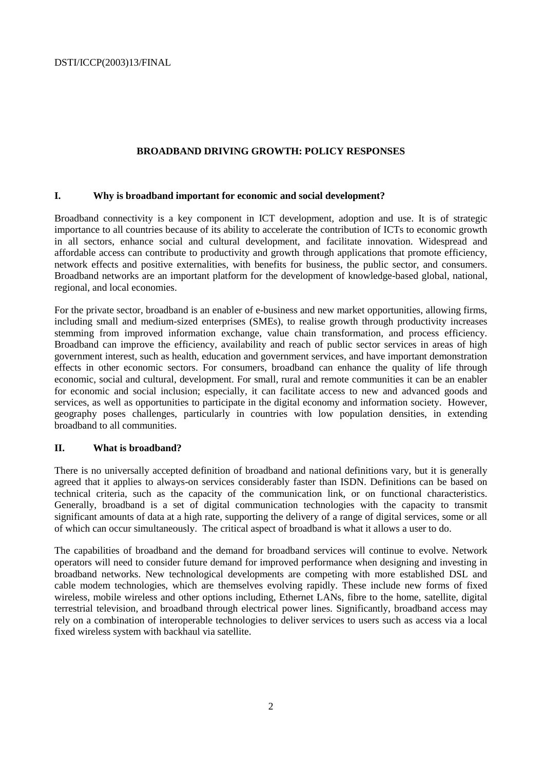### **BROADBAND DRIVING GROWTH: POLICY RESPONSES**

#### **I. Why is broadband important for economic and social development?**

Broadband connectivity is a key component in ICT development, adoption and use. It is of strategic importance to all countries because of its ability to accelerate the contribution of ICTs to economic growth in all sectors, enhance social and cultural development, and facilitate innovation. Widespread and affordable access can contribute to productivity and growth through applications that promote efficiency, network effects and positive externalities, with benefits for business, the public sector, and consumers. Broadband networks are an important platform for the development of knowledge-based global, national, regional, and local economies.

For the private sector, broadband is an enabler of e-business and new market opportunities, allowing firms, including small and medium-sized enterprises (SMEs), to realise growth through productivity increases stemming from improved information exchange, value chain transformation, and process efficiency. Broadband can improve the efficiency, availability and reach of public sector services in areas of high government interest, such as health, education and government services, and have important demonstration effects in other economic sectors. For consumers, broadband can enhance the quality of life through economic, social and cultural, development. For small, rural and remote communities it can be an enabler for economic and social inclusion; especially, it can facilitate access to new and advanced goods and services, as well as opportunities to participate in the digital economy and information society. However, geography poses challenges, particularly in countries with low population densities, in extending broadband to all communities.

#### **II. What is broadband?**

There is no universally accepted definition of broadband and national definitions vary, but it is generally agreed that it applies to always-on services considerably faster than ISDN. Definitions can be based on technical criteria, such as the capacity of the communication link, or on functional characteristics. Generally, broadband is a set of digital communication technologies with the capacity to transmit significant amounts of data at a high rate, supporting the delivery of a range of digital services, some or all of which can occur simultaneously. The critical aspect of broadband is what it allows a user to do.

The capabilities of broadband and the demand for broadband services will continue to evolve. Network operators will need to consider future demand for improved performance when designing and investing in broadband networks. New technological developments are competing with more established DSL and cable modem technologies, which are themselves evolving rapidly. These include new forms of fixed wireless, mobile wireless and other options including, Ethernet LANs, fibre to the home, satellite, digital terrestrial television, and broadband through electrical power lines. Significantly, broadband access may rely on a combination of interoperable technologies to deliver services to users such as access via a local fixed wireless system with backhaul via satellite.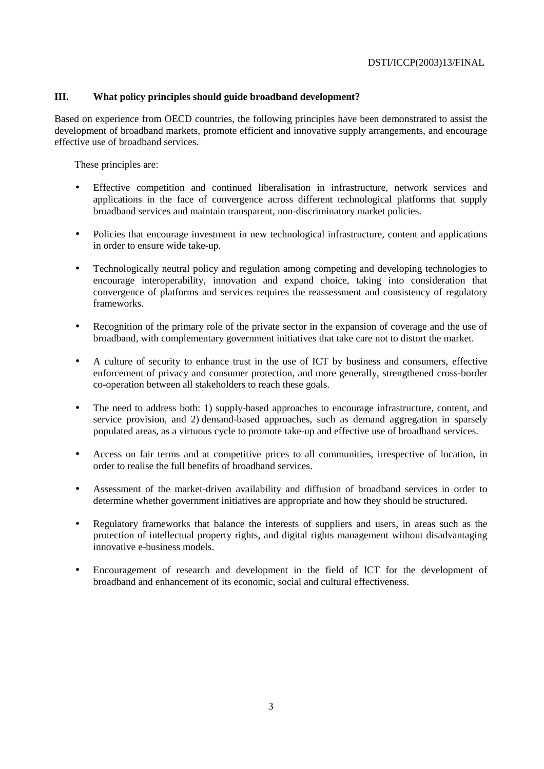# **III. What policy principles should guide broadband development?**

Based on experience from OECD countries, the following principles have been demonstrated to assist the development of broadband markets, promote efficient and innovative supply arrangements, and encourage effective use of broadband services.

These principles are:

- Effective competition and continued liberalisation in infrastructure, network services and applications in the face of convergence across different technological platforms that supply broadband services and maintain transparent, non-discriminatory market policies.
- Policies that encourage investment in new technological infrastructure, content and applications in order to ensure wide take-up.
- Technologically neutral policy and regulation among competing and developing technologies to encourage interoperability, innovation and expand choice, taking into consideration that convergence of platforms and services requires the reassessment and consistency of regulatory frameworks.
- Recognition of the primary role of the private sector in the expansion of coverage and the use of broadband, with complementary government initiatives that take care not to distort the market.
- A culture of security to enhance trust in the use of ICT by business and consumers, effective enforcement of privacy and consumer protection, and more generally, strengthened cross-border co-operation between all stakeholders to reach these goals.
- The need to address both: 1) supply-based approaches to encourage infrastructure, content, and service provision, and 2) demand-based approaches, such as demand aggregation in sparsely populated areas, as a virtuous cycle to promote take-up and effective use of broadband services.
- Access on fair terms and at competitive prices to all communities, irrespective of location, in order to realise the full benefits of broadband services.
- Assessment of the market-driven availability and diffusion of broadband services in order to determine whether government initiatives are appropriate and how they should be structured.
- Regulatory frameworks that balance the interests of suppliers and users, in areas such as the protection of intellectual property rights, and digital rights management without disadvantaging innovative e-business models.
- Encouragement of research and development in the field of ICT for the development of broadband and enhancement of its economic, social and cultural effectiveness.